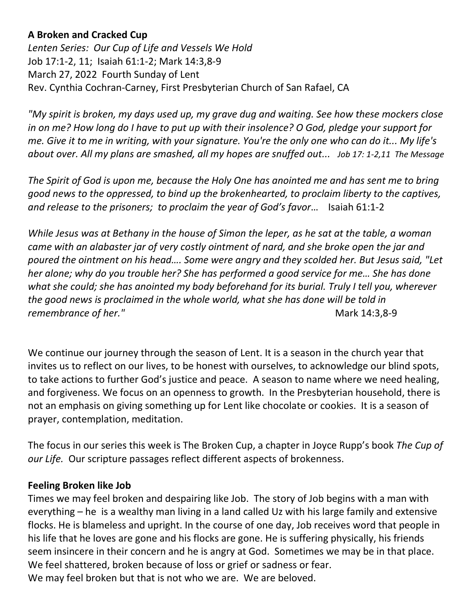# **A Broken and Cracked Cup**

*Lenten Series: Our Cup of Life and Vessels We Hold* Job 17:1-2, 11; Isaiah 61:1-2; Mark 14:3,8-9 March 27, 2022 Fourth Sunday of Lent Rev. Cynthia Cochran-Carney, First Presbyterian Church of San Rafael, CA

*"My spirit is broken, my days used up, my grave dug and waiting. See how these mockers close in on me? How long do I have to put up with their insolence? O God, pledge your support for me. Give it to me in writing, with your signature. You're the only one who can do it... My life's about over. All my plans are smashed, all my hopes are snuffed out... Job 17: 1-2,11 The Message*

*The Spirit of God is upon me, because the Holy One has anointed me and has sent me to bring good news to the oppressed, to bind up the brokenhearted, to proclaim liberty to the captives, and release to the prisoners; to proclaim the year of God's favor*… Isaiah 61:1-2

*While Jesus was at Bethany in the house of Simon the leper, as he sat at the table, a woman came with an alabaster jar of very costly ointment of nard, and she broke open the jar and poured the ointment on his head…. Some were angry and they scolded her. But Jesus said, "Let her alone; why do you trouble her? She has performed a good service for me… She has done what she could; she has anointed my body beforehand for its burial. Truly I tell you, wherever the good news is proclaimed in the whole world, what she has done will be told in remembrance of her.*" and the matrix of the matrix of the Mark 14:3,8-9

We continue our journey through the season of Lent. It is a season in the church year that invites us to reflect on our lives, to be honest with ourselves, to acknowledge our blind spots, to take actions to further God's justice and peace. A season to name where we need healing, and forgiveness. We focus on an openness to growth. In the Presbyterian household, there is not an emphasis on giving something up for Lent like chocolate or cookies. It is a season of prayer, contemplation, meditation.

The focus in our series this week is The Broken Cup, a chapter in Joyce Rupp's book *The Cup of our Life.* Our scripture passages reflect different aspects of brokenness.

#### **Feeling Broken like Job**

Times we may feel broken and despairing like Job. The story of Job begins with a man with everything – he is a wealthy man living in a land called Uz with his large family and extensive flocks. He is blameless and upright. In the course of one day, Job receives word that people in his life that he loves are gone and his flocks are gone. He is suffering physically, his friends seem insincere in their concern and he is angry at God. Sometimes we may be in that place. We feel shattered, broken because of loss or grief or sadness or fear. We may feel broken but that is not who we are. We are beloved.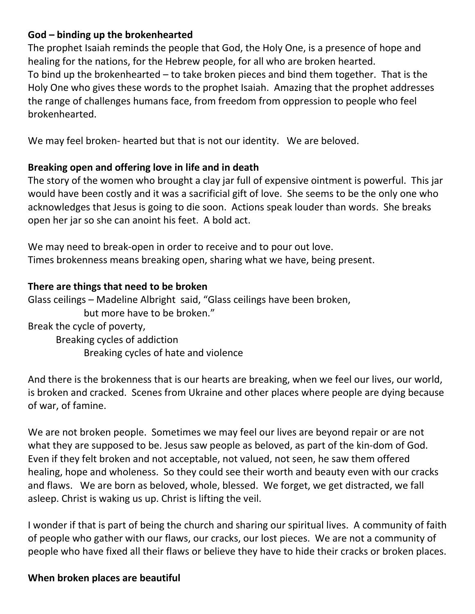# **God – binding up the brokenhearted**

The prophet Isaiah reminds the people that God, the Holy One, is a presence of hope and healing for the nations, for the Hebrew people, for all who are broken hearted. To bind up the brokenhearted – to take broken pieces and bind them together. That is the Holy One who gives these words to the prophet Isaiah. Amazing that the prophet addresses the range of challenges humans face, from freedom from oppression to people who feel brokenhearted.

We may feel broken- hearted but that is not our identity. We are beloved.

# **Breaking open and offering love in life and in death**

The story of the women who brought a clay jar full of expensive ointment is powerful. This jar would have been costly and it was a sacrificial gift of love. She seems to be the only one who acknowledges that Jesus is going to die soon. Actions speak louder than words. She breaks open her jar so she can anoint his feet. A bold act.

We may need to break-open in order to receive and to pour out love. Times brokenness means breaking open, sharing what we have, being present.

# **There are things that need to be broken**

Glass ceilings – Madeline Albright said, "Glass ceilings have been broken, but more have to be broken." Break the cycle of poverty,

Breaking cycles of addiction Breaking cycles of hate and violence

And there is the brokenness that is our hearts are breaking, when we feel our lives, our world, is broken and cracked. Scenes from Ukraine and other places where people are dying because of war, of famine.

We are not broken people. Sometimes we may feel our lives are beyond repair or are not what they are supposed to be. Jesus saw people as beloved, as part of the kin-dom of God. Even if they felt broken and not acceptable, not valued, not seen, he saw them offered healing, hope and wholeness. So they could see their worth and beauty even with our cracks and flaws. We are born as beloved, whole, blessed. We forget, we get distracted, we fall asleep. Christ is waking us up. Christ is lifting the veil.

I wonder if that is part of being the church and sharing our spiritual lives. A community of faith of people who gather with our flaws, our cracks, our lost pieces. We are not a community of people who have fixed all their flaws or believe they have to hide their cracks or broken places.

#### **When broken places are beautiful**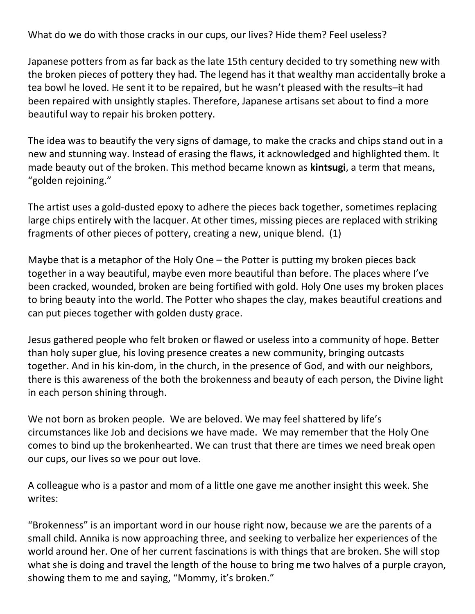What do we do with those cracks in our cups, our lives? Hide them? Feel useless?

Japanese potters from as far back as the late 15th century decided to try something new with the broken pieces of pottery they had. The legend has it that wealthy man accidentally broke a tea bowl he loved. He sent it to be repaired, but he wasn't pleased with the results–it had been repaired with unsightly staples. Therefore, Japanese artisans set about to find a more beautiful way to repair his broken pottery.

The idea was to beautify the very signs of damage, to make the cracks and chips stand out in a new and stunning way. Instead of erasing the flaws, it acknowledged and highlighted them. It made beauty out of the broken. This method became known as **kintsugi**, a term that means, "golden rejoining."

The artist uses a gold-dusted epoxy to adhere the pieces back together, sometimes replacing large chips entirely with the lacquer. At other times, missing pieces are replaced with striking fragments of other pieces of pottery, creating a new, unique blend. (1)

Maybe that is a metaphor of the Holy One – the Potter is putting my broken pieces back together in a way beautiful, maybe even more beautiful than before. The places where I've been cracked, wounded, broken are being fortified with gold. Holy One uses my broken places to bring beauty into the world. The Potter who shapes the clay, makes beautiful creations and can put pieces together with golden dusty grace.

Jesus gathered people who felt broken or flawed or useless into a community of hope. Better than holy super glue, his loving presence creates a new community, bringing outcasts together. And in his kin-dom, in the church, in the presence of God, and with our neighbors, there is this awareness of the both the brokenness and beauty of each person, the Divine light in each person shining through.

We not born as broken people. We are beloved. We may feel shattered by life's circumstances like Job and decisions we have made. We may remember that the Holy One comes to bind up the brokenhearted. We can trust that there are times we need break open our cups, our lives so we pour out love.

A colleague who is a pastor and mom of a little one gave me another insight this week. She writes:

"Brokenness" is an important word in our house right now, because we are the parents of a small child. Annika is now approaching three, and seeking to verbalize her experiences of the world around her. One of her current fascinations is with things that are broken. She will stop what she is doing and travel the length of the house to bring me two halves of a purple crayon, showing them to me and saying, "Mommy, it's broken."